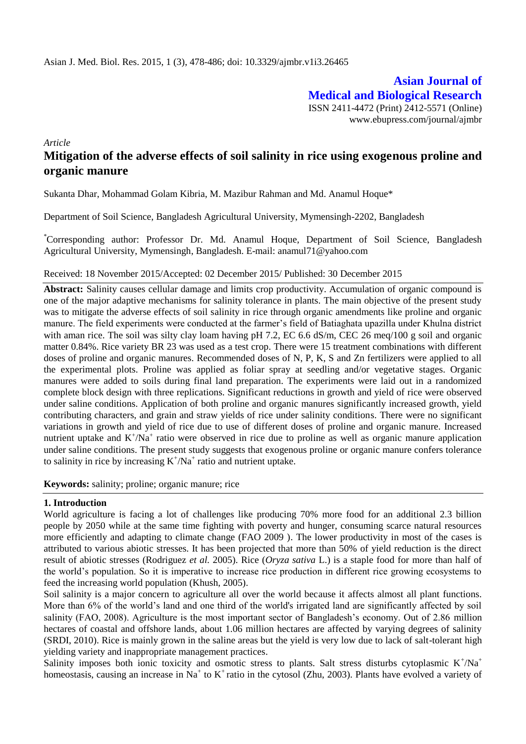**Asian Journal of Medical and Biological Research** ISSN 2411-4472 (Print) 2412-5571 (Online) www.ebupress.com/journal/ajmbr

*Article*

# **Mitigation of the adverse effects of soil salinity in rice using exogenous proline and organic manure**

Sukanta Dhar, Mohammad Golam Kibria, M. Mazibur Rahman and Md. Anamul Hoque\*

Department of Soil Science, Bangladesh Agricultural University, Mymensingh-2202, Bangladesh

\*Corresponding author: Professor Dr. Md. Anamul Hoque, Department of Soil Science, Bangladesh Agricultural University, Mymensingh, Bangladesh. E-mail: [anamul71@yahoo.com](mailto:anamul71@yahoo.com)

#### Received: 18 November 2015/Accepted: 02 December 2015/ Published: 30 December 2015

**Abstract:** Salinity causes cellular damage and limits crop productivity. Accumulation of organic compound is one of the major adaptive mechanisms for salinity tolerance in plants. The main objective of the present study was to mitigate the adverse effects of soil salinity in rice through organic amendments like proline and organic manure. The field experiments were conducted at the farmer's field of Batiaghata upazilla under Khulna district with aman rice. The soil was silty clay loam having pH 7.2, EC 6.6 dS/m, CEC 26 meq/100 g soil and organic matter 0.84%. Rice variety BR 23 was used as a test crop. There were 15 treatment combinations with different doses of proline and organic manures. Recommended doses of N, P, K, S and Zn fertilizers were applied to all the experimental plots. Proline was applied as foliar spray at seedling and/or vegetative stages. Organic manures were added to soils during final land preparation. The experiments were laid out in a randomized complete block design with three replications. Significant reductions in growth and yield of rice were observed under saline conditions. Application of both proline and organic manures significantly increased growth, yield contributing characters, and grain and straw yields of rice under salinity conditions. There were no significant variations in growth and yield of rice due to use of different doses of proline and organic manure. Increased nutrient uptake and  $K^{\dagger}/Na^{\dagger}$  ratio were observed in rice due to proline as well as organic manure application under saline conditions. The present study suggests that exogenous proline or organic manure confers tolerance to salinity in rice by increasing  $K^+/Na^+$  ratio and nutrient uptake.

**Keywords:** salinity; proline; organic manure; rice

#### **1. Introduction**

World agriculture is facing a lot of challenges like producing 70% more food for an additional 2.3 billion people by 2050 while at the same time fighting with poverty and hunger, consuming scarce natural resources more efficiently and adapting to climate change (FAO 2009 ). The lower productivity in most of the cases is attributed to various abiotic stresses. It has been projected that more than 50% of yield reduction is the direct result of abiotic stresses (Rodriguez *et al.* 2005). Rice (*Oryza sativa* L.) is a staple food for more than half of the world's population. So it is imperative to increase rice production in different rice growing ecosystems to feed the increasing world population (Khush, 2005).

Soil salinity is a major concern to agriculture all over the world because it affects almost all plant functions. More than 6% of the world's land and one third of the world's irrigated land are significantly affected by soil salinity (FAO, 2008). Agriculture is the most important sector of Bangladesh's economy. Out of 2.86 million hectares of coastal and offshore lands, about 1.06 million hectares are affected by varying degrees of salinity (SRDI, 2010). Rice is mainly grown in the saline areas but the yield is very low due to lack of salt-tolerant high yielding variety and inappropriate management practices.

Salinity imposes both ionic toxicity and osmotic stress to plants. Salt stress disturbs cytoplasmic  $K^+/Na^+$ homeostasis, causing an increase in Na<sup>+</sup> to K<sup>+</sup>ratio in the cytosol (Zhu, 2003). Plants have evolved a variety of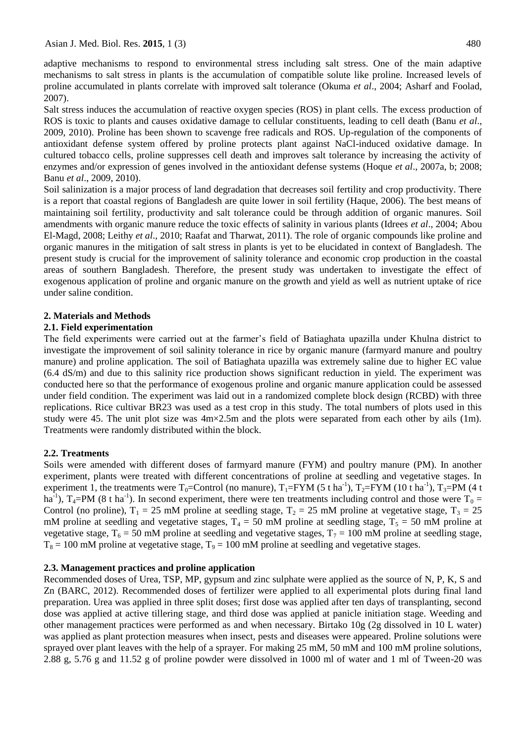adaptive mechanisms to respond to environmental stress including salt stress. One of the main adaptive mechanisms to salt stress in plants is the accumulation of compatible solute like proline. Increased levels of proline accumulated in plants correlate with improved salt tolerance (Okuma *et al*., 2004; Asharf and Foolad, 2007).

Salt stress induces the accumulation of reactive oxygen species (ROS) in plant cells. The excess production of ROS is toxic to plants and causes oxidative damage to cellular constituents, leading to cell death (Banu *et al*., 2009, 2010). Proline has been shown to scavenge free radicals and ROS. Up-regulation of the components of antioxidant defense system offered by proline protects plant against NaCl-induced oxidative damage. In cultured tobacco cells, proline suppresses cell death and improves salt tolerance by increasing the activity of enzymes and/or expression of genes involved in the antioxidant defense systems (Hoque *et al*., 2007a, b; 2008; Banu *et al*., 2009, 2010).

Soil salinization is a major process of land degradation that decreases soil fertility and crop productivity. There is a report that coastal regions of Bangladesh are quite lower in soil fertility (Haque, 2006). The best means of maintaining soil fertility, productivity and salt tolerance could be through addition of organic manures. Soil amendments with organic manure reduce the toxic effects of salinity in various plants (Idrees *et al*., 2004; Abou El-Magd, 2008; Leithy *et al*., 2010; Raafat and Tharwat, 2011). The role of organic compounds like proline and organic manures in the mitigation of salt stress in plants is yet to be elucidated in context of Bangladesh. The present study is crucial for the improvement of salinity tolerance and economic crop production in the coastal areas of southern Bangladesh. Therefore, the present study was undertaken to investigate the effect of exogenous application of proline and organic manure on the growth and yield as well as nutrient uptake of rice under saline condition.

### **2. Materials and Methods**

#### **2.1. Field experimentation**

The field experiments were carried out at the farmer's field of Batiaghata upazilla under Khulna district to investigate the improvement of soil salinity tolerance in rice by organic manure (farmyard manure and poultry manure) and proline application. The soil of Batiaghata upazilla was extremely saline due to higher EC value (6.4 dS/m) and due to this salinity rice production shows significant reduction in yield. The experiment was conducted here so that the performance of exogenous proline and organic manure application could be assessed under field condition. The experiment was laid out in a randomized complete block design (RCBD) with three replications. Rice cultivar BR23 was used as a test crop in this study. The total numbers of plots used in this study were 45. The unit plot size was  $4m \times 2.5m$  and the plots were separated from each other by ails (1m). Treatments were randomly distributed within the block.

### **2.2. Treatments**

Soils were amended with different doses of farmyard manure (FYM) and poultry manure (PM). In another experiment, plants were treated with different concentrations of proline at seedling and vegetative stages. In experiment 1, the treatments were  $T_0$ =Control (no manure),  $T_1$ =FYM (5 t ha<sup>-1</sup>),  $T_2$ =FYM (10 t ha<sup>-1</sup>),  $T_3$ =PM (4 t ha<sup>-1</sup>), T<sub>4</sub>=PM (8 t ha<sup>-1</sup>). In second experiment, there were ten treatments including control and those were T<sub>0</sub> = Control (no proline),  $T_1 = 25$  mM proline at seedling stage,  $T_2 = 25$  mM proline at vegetative stage,  $T_3 = 25$ mM proline at seedling and vegetative stages,  $T_4 = 50$  mM proline at seedling stage,  $T_5 = 50$  mM proline at vegetative stage,  $T_6 = 50$  mM proline at seedling and vegetative stages,  $T_7 = 100$  mM proline at seedling stage,  $T_8 = 100$  mM proline at vegetative stage,  $T_9 = 100$  mM proline at seedling and vegetative stages.

#### **2.3. Management practices and proline application**

Recommended doses of Urea, TSP, MP, gypsum and zinc sulphate were applied as the source of N, P, K, S and Zn (BARC, 2012). Recommended doses of fertilizer were applied to all experimental plots during final land preparation. Urea was applied in three split doses; first dose was applied after ten days of transplanting, second dose was applied at active tillering stage, and third dose was applied at panicle initiation stage. Weeding and other management practices were performed as and when necessary. Birtako 10g (2g dissolved in 10 L water) was applied as plant protection measures when insect, pests and diseases were appeared. Proline solutions were sprayed over plant leaves with the help of a sprayer. For making 25 mM, 50 mM and 100 mM proline solutions, 2.88 g, 5.76 g and 11.52 g of proline powder were dissolved in 1000 ml of water and 1 ml of Tween-20 was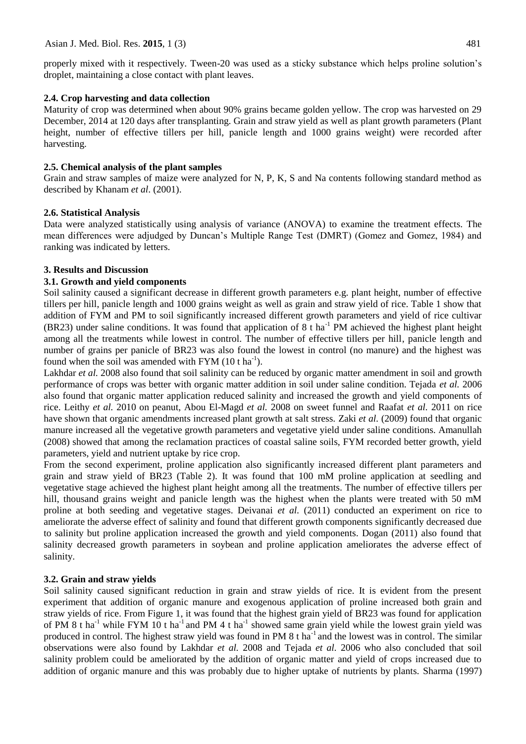properly mixed with it respectively. Tween-20 was used as a sticky substance which helps proline solution's droplet, maintaining a close contact with plant leaves.

### **2.4. Crop harvesting and data collection**

Maturity of crop was determined when about 90% grains became golden yellow. The crop was harvested on 29 December, 2014 at 120 days after transplanting. Grain and straw yield as well as plant growth parameters (Plant height, number of effective tillers per hill, panicle length and 1000 grains weight) were recorded after harvesting.

# **2.5. Chemical analysis of the plant samples**

Grain and straw samples of maize were analyzed for N, P, K, S and Na contents following standard method as described by Khanam *et al*. (2001).

### **2.6. Statistical Analysis**

Data were analyzed statistically using analysis of variance (ANOVA) to examine the treatment effects. The mean differences were adjudged by Duncan's Multiple Range Test (DMRT) (Gomez and Gomez, 1984) and ranking was indicated by letters.

### **3. Results and Discussion**

### **3.1. Growth and yield components**

Soil salinity caused a significant decrease in different growth parameters e.g. plant height, number of effective tillers per hill, panicle length and 1000 grains weight as well as grain and straw yield of rice. Table 1 show that addition of FYM and PM to soil significantly increased different growth parameters and yield of rice cultivar (BR23) under saline conditions. It was found that application of  $8$  t ha<sup>-1</sup> PM achieved the highest plant height among all the treatments while lowest in control. The number of effective tillers per hill, panicle length and number of grains per panicle of BR23 was also found the lowest in control (no manure) and the highest was found when the soil was amended with  $FYM(10 \t{ h a<sup>-1</sup>}).$ 

Lakhdar *et al.* 2008 also found that soil salinity can be reduced by organic matter amendment in soil and growth performance of crops was better with organic matter addition in soil under saline condition. Tejada *et al.* 2006 also found that organic matter application reduced salinity and increased the growth and yield components of rice. Leithy *et al.* 2010 on peanut, Abou El-Magd *et al.* 2008 on sweet funnel and Raafat *et al.* 2011 on rice have shown that organic amendments increased plant growth at salt stress. Zaki *et al.* (2009) found that organic manure increased all the vegetative growth parameters and vegetative yield under saline conditions. Amanullah (2008) showed that among the reclamation practices of coastal saline soils, FYM recorded better growth, yield parameters, yield and nutrient uptake by rice crop.

From the second experiment, proline application also significantly increased different plant parameters and grain and straw yield of BR23 (Table 2). It was found that 100 mM proline application at seedling and vegetative stage achieved the highest plant height among all the treatments. The number of effective tillers per hill, thousand grains weight and panicle length was the highest when the plants were treated with 50 mM proline at both seeding and vegetative stages. Deivanai *et al.* (2011) conducted an experiment on rice to ameliorate the adverse effect of salinity and found that different growth components significantly decreased due to salinity but proline application increased the growth and yield components. Dogan (2011) also found that salinity decreased growth parameters in soybean and proline application ameliorates the adverse effect of salinity.

# **3.2. Grain and straw yields**

Soil salinity caused significant reduction in grain and straw yields of rice. It is evident from the present experiment that addition of organic manure and exogenous application of proline increased both grain and straw yields of rice. From Figure 1, it was found that the highest grain yield of BR23 was found for application of PM 8 t ha<sup>-1</sup> while FYM 10 t ha<sup>-1</sup> and PM 4 t ha<sup>-1</sup> showed same grain yield while the lowest grain yield was produced in control. The highest straw yield was found in PM  $8$  t ha<sup>-1</sup> and the lowest was in control. The similar observations were also found by Lakhdar *et al.* 2008 and Tejada *et al.* 2006 who also concluded that soil salinity problem could be ameliorated by the addition of organic matter and yield of crops increased due to addition of organic manure and this was probably due to higher uptake of nutrients by plants. Sharma (1997)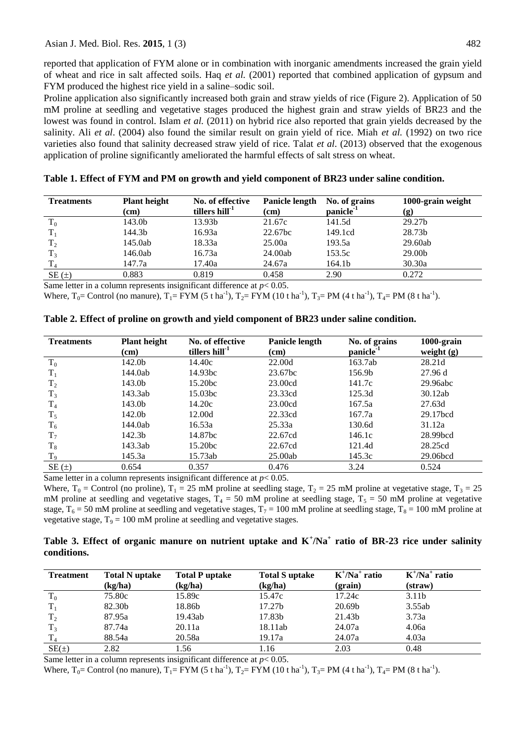reported that application of FYM alone or in combination with inorganic amendments increased the grain yield of wheat and rice in salt affected soils. Haq *et al.* (2001) reported that combined application of gypsum and FYM produced the highest rice yield in a saline–sodic soil.

Proline application also significantly increased both grain and straw yields of rice (Figure 2). Application of 50 mM proline at seedling and vegetative stages produced the highest grain and straw yields of BR23 and the lowest was found in control. Islam *et al.* (2011) on hybrid rice also reported that grain yields decreased by the salinity. Ali *et al*. (2004) also found the similar result on grain yield of rice. Miah *et al.* (1992) on two rice varieties also found that salinity decreased straw yield of rice. Talat *et al*. (2013) observed that the exogenous application of proline significantly ameliorated the harmful effects of salt stress on wheat.

| <b>Treatments</b> | <b>Plant height</b> | No. of effective           | <b>Panicle length</b> | No. of grains         | 1000-grain weight  |  |
|-------------------|---------------------|----------------------------|-----------------------|-----------------------|--------------------|--|
|                   | (cm)                | tillers hill <sup>-1</sup> | (cm)                  | panicle <sup>-1</sup> | (g)                |  |
| $T_0$             | 143.0b              | 13.93b                     | 21.67c                | 141.5d                | 29.27 <sub>b</sub> |  |
|                   | 144.3b              | 16.93a                     | 22.67bc               | 149.1cd               | 28.73b             |  |
| $T_2$             | 145.0ab             | 18.33a                     | 25.00a                | 193.5a                | 29.60ab            |  |
| T <sub>3</sub>    | 146.0ab             | 16.73a                     | 24.00ab               | 153.5c                | 29.00b             |  |
|                   | 147.7a              | 17.40a                     | 24.67a                | 164.1b                | 30.30a             |  |
| $SE(\pm)$         | 0.883               | 0.819                      | 0.458                 | 2.90                  | 0.272              |  |

**Table 1. Effect of FYM and PM on growth and yield component of BR23 under saline condition.**

Same letter in a column represents insignificant difference at *p*< 0.05.

Where,  $T_0$  = Control (no manure),  $T_1$  = FYM (5 t ha<sup>-1</sup>),  $T_2$  = FYM (10 t ha<sup>-1</sup>),  $T_3$  = PM (4 t ha<sup>-1</sup>),  $T_4$  = PM (8 t ha<sup>-1</sup>).

| <b>Treatments</b> | <b>Plant height</b> | No. of effective                                                          | Panicle length | No. of grains         | 1000-grain   |
|-------------------|---------------------|---------------------------------------------------------------------------|----------------|-----------------------|--------------|
|                   | (cm)                | tillers hill <sup>-1</sup>                                                | $\rm (cm)$     | panicle <sup>-1</sup> | weight $(g)$ |
| $T_0$             | 142.0b              | 14.40c                                                                    | 22.00d         | 163.7ab               | 28.21d       |
| $T_1$             | 144.0ab             | 14.93bc                                                                   | 23.67bc        | 156.9b                | 27.96 d      |
| $T_2$             | 143.0b              | 15.20bc                                                                   | 23.00cd        | 141.7c                | 29.96abc     |
| $T_3$             | 143.3ab             | 15.03bc                                                                   | 23.33cd        | 125.3d                | 30.12ab      |
| T <sub>4</sub>    | 143.0b              | 14.20c                                                                    | 23.00cd        | 167.5a                | 27.63d       |
| $T_5$             | 142.0b              | 12.00d                                                                    | 22.33cd        | 167.7a                | 29.17bcd     |
| $T_6$             | 144.0ab             | 16.53a                                                                    | 25.33a         | 130.6d                | 31.12a       |
| $T_7$             | 142.3b              | 14.87bc                                                                   | 22.67cd        | 146.1c                | 28.99bcd     |
| $T_8$             | 143.3ab             | 15.20bc                                                                   | 22.67cd        | 121.4d                | 28.25cd      |
| T <sub>9</sub>    | 145.3a              | 15.73ab                                                                   | 25.00ab        | 145.3c                | 29.06bcd     |
| $SE(\pm)$         | 0.654               | 0.357                                                                     | 0.476          | 3.24                  | 0.524        |
|                   |                     | Same letter in a column represents insignificant difference at $n < 0.05$ |                |                       |              |

**Table 2. Effect of proline on growth and yield component of BR23 under saline condition.**

Same letter in a column represents insignificant difference at *p*< 0.05.

Where,  $T_0$  = Control (no proline),  $T_1$  = 25 mM proline at seedling stage,  $T_2$  = 25 mM proline at vegetative stage,  $T_3$  = 25 mM proline at seedling and vegetative stages,  $T_4 = 50$  mM proline at seedling stage,  $T_5 = 50$  mM proline at vegetative stage,  $T_6 = 50$  mM proline at seedling and vegetative stages,  $T_7 = 100$  mM proline at seedling stage,  $T_8 = 100$  mM proline at vegetative stage,  $T_9 = 100$  mM proline at seedling and vegetative stages.

|             |  | Table 3. Effect of organic manure on nutrient uptake and $K^{\dagger}/Na^{\dagger}$ ratio of BR-23 rice under salinity |  |  |  |  |  |
|-------------|--|------------------------------------------------------------------------------------------------------------------------|--|--|--|--|--|
| conditions. |  |                                                                                                                        |  |  |  |  |  |

| <b>Treatment</b> | <b>Total N</b> uptake<br>(kg/ha) | <b>Total P uptake</b><br>(kg/ha) | <b>Total S</b> uptake<br>(kg/ha) | $K^{\dagger}/Na^{\dagger}$ ratio<br>(grain) | $K^{\dagger}/Na^{\dagger}$ ratio<br>(straw) |
|------------------|----------------------------------|----------------------------------|----------------------------------|---------------------------------------------|---------------------------------------------|
| $\rm T_0$        | 75.80c                           | 15.89c                           | 15.47c                           | 17.24c                                      | 3.11 <sub>b</sub>                           |
|                  | 82.30b                           | 18.86b                           | 17.27b                           | 20.69b                                      | 3.55ab                                      |
| T <sub>2</sub>   | 87.95a                           | 19.43ab                          | 17.83b                           | 21.43b                                      | 3.73a                                       |
| T <sub>3</sub>   | 87.74a                           | 20.11a                           | 18.11ab                          | 24.07a                                      | 4.06a                                       |
| T <sub>4</sub>   | 88.54a                           | 20.58a                           | 19.17a                           | 24.07a                                      | 4.03a                                       |
| $SE(\pm)$        | 2.82                             | 1.56                             | 1.16                             | 2.03                                        | 0.48                                        |

Same letter in a column represents insignificant difference at *p*< 0.05.

Where,  $T_0$  = Control (no manure),  $T_1$  = FYM (5 t ha<sup>-1</sup>),  $T_2$  = FYM (10 t ha<sup>-1</sup>),  $T_3$  = PM (4 t ha<sup>-1</sup>),  $T_4$  = PM (8 t ha<sup>-1</sup>).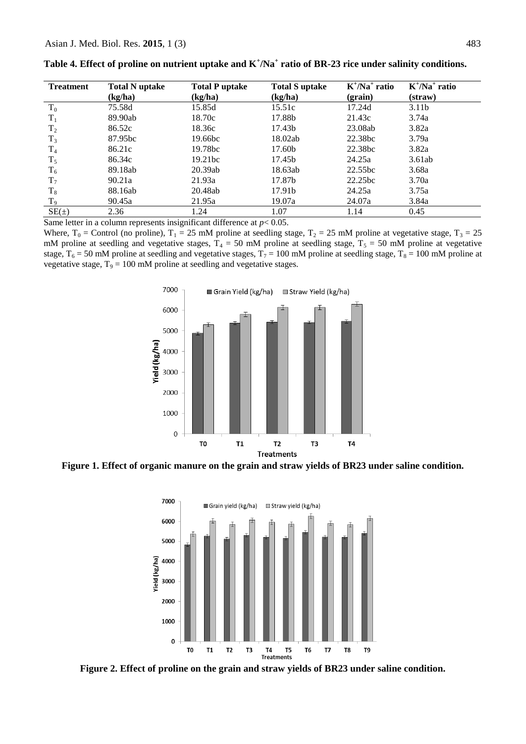| <b>Treatment</b> | <b>Total N</b> uptake | <b>Total P uptake</b> | <b>Total S</b> uptake | $K^{\dagger}/Na^{\dagger}$ ratio | $K^{\dagger}/Na^{\dagger}$ ratio |
|------------------|-----------------------|-----------------------|-----------------------|----------------------------------|----------------------------------|
|                  | (kg/ha)               | (kg/ha)               | (kg/ha)               | (grain)                          | (straw)                          |
| $T_0$            | 75.58d                | 15.85d                | 15.51c                | 17.24d                           | 3.11 <sub>b</sub>                |
| $T_1$            | 89.90ab               | 18.70c                | 17.88b                | 21.43c                           | 3.74a                            |
| $T_2$            | 86.52c                | 18.36c                | 17.43b                | 23.08ab                          | 3.82a                            |
| $T_3$            | 87.95bc               | 19.66bc               | 18.02ab               | 22.38bc                          | 3.79a                            |
| $T_4$            | 86.21c                | 19.78bc               | 17.60b                | 22.38bc                          | 3.82a                            |
| $T_5$            | 86.34c                | 19.21 <sub>bc</sub>   | 17.45b                | 24.25a                           | 3.61ab                           |
| $T_6$            | 89.18ab               | 20.39ab               | 18.63ab               | 22.55bc                          | 3.68a                            |
| T <sub>7</sub>   | 90.21a                | 21.93a                | 17.87b                | 22.25bc                          | 3.70a                            |
| $\rm T_8$        | 88.16ab               | 20.48ab               | 17.91b                | 24.25a                           | 3.75a                            |
| $T_9$            | 90.45a                | 21.95a                | 19.07a                | 24.07a                           | 3.84a                            |
| $SE(\pm)$        | 2.36                  | 1.24                  | 1.07                  | 1.14                             | 0.45                             |

**Table 4. Effect of proline on nutrient uptake and K<sup>+</sup> /Na<sup>+</sup> ratio of BR-23 rice under salinity conditions.**

Same letter in a column represents insignificant difference at  $p < 0.05$ .

Where,  $T_0$  = Control (no proline),  $T_1$  = 25 mM proline at seedling stage,  $T_2$  = 25 mM proline at vegetative stage,  $T_3$  = 25 mM proline at seedling and vegetative stages,  $T_4 = 50$  mM proline at seedling stage,  $T_5 = 50$  mM proline at vegetative stage,  $T_6 = 50$  mM proline at seedling and vegetative stages,  $T_7 = 100$  mM proline at seedling stage,  $T_8 = 100$  mM proline at vegetative stage,  $T_9 = 100$  mM proline at seedling and vegetative stages.



**Figure 1. Effect of organic manure on the grain and straw yields of BR23 under saline condition.**



**Figure 2. Effect of proline on the grain and straw yields of BR23 under saline condition.**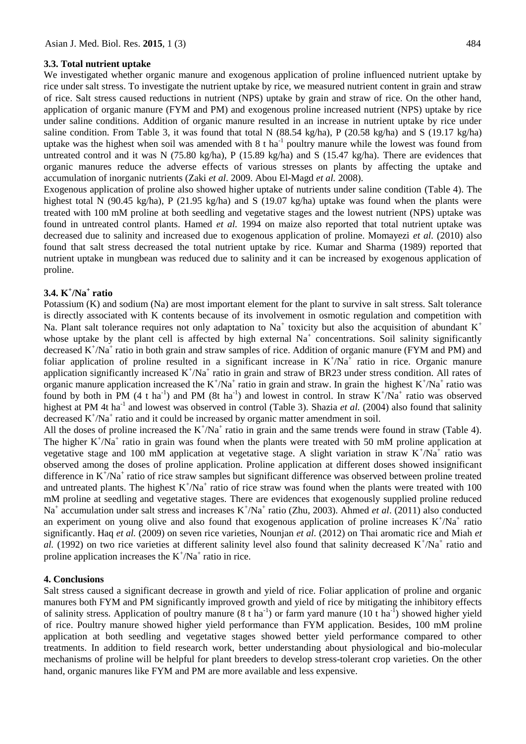#### **3.3. Total nutrient uptake**

We investigated whether organic manure and exogenous application of proline influenced nutrient uptake by rice under salt stress. To investigate the nutrient uptake by rice, we measured nutrient content in grain and straw of rice. Salt stress caused reductions in nutrient (NPS) uptake by grain and straw of rice. On the other hand, application of organic manure (FYM and PM) and exogenous proline increased nutrient (NPS) uptake by rice under saline conditions. Addition of organic manure resulted in an increase in nutrient uptake by rice under saline condition. From Table 3, it was found that total N  $(88.54 \text{ kg/ha})$ , P  $(20.58 \text{ kg/ha})$  and S  $(19.17 \text{ kg/ha})$ uptake was the highest when soil was amended with  $8$  t ha<sup>-1</sup> poultry manure while the lowest was found from untreated control and it was N (75.80 kg/ha), P (15.89 kg/ha) and S (15.47 kg/ha). There are evidences that organic manures reduce the adverse effects of various stresses on plants by affecting the uptake and accumulation of inorganic nutrients (Zaki *et al*. 2009. Abou El-Magd *et al.* 2008).

Exogenous application of proline also showed higher uptake of nutrients under saline condition (Table 4). The highest total N (90.45 kg/ha), P (21.95 kg/ha) and S (19.07 kg/ha) uptake was found when the plants were treated with 100 mM proline at both seedling and vegetative stages and the lowest nutrient (NPS) uptake was found in untreated control plants. Hamed *et al.* 1994 on maize also reported that total nutrient uptake was decreased due to salinity and increased due to exogenous application of proline. Momayezi *et al.* (2010) also found that salt stress decreased the total nutrient uptake by rice. Kumar and Sharma (1989) reported that nutrient uptake in mungbean was reduced due to salinity and it can be increased by exogenous application of proline.

### **3.4. K<sup>+</sup> /Na<sup>+</sup> ratio**

Potassium (K) and sodium (Na) are most important element for the plant to survive in salt stress. Salt tolerance is directly associated with K contents because of its involvement in osmotic regulation and competition with Na. Plant salt tolerance requires not only adaptation to Na<sup>+</sup> toxicity but also the acquisition of abundant  $K^+$ whose uptake by the plant cell is affected by high external  $Na<sup>+</sup>$  concentrations. Soil salinity significantly decreased K<sup>+</sup>/Na<sup>+</sup> ratio in both grain and straw samples of rice. Addition of organic manure (FYM and PM) and foliar application of proline resulted in a significant increase in  $K^+/Na^+$  ratio in rice. Organic manure application significantly increased  $K^+/Na^+$  ratio in grain and straw of BR23 under stress condition. All rates of organic manure application increased the  $K^+/Na^+$  ratio in grain and straw. In grain the highest  $K^+/Na^+$  ratio was found by both in PM (4 t ha<sup>-1</sup>) and PM (8t ha<sup>-1</sup>) and lowest in control. In straw  $K^+/Na^+$  ratio was observed highest at PM 4t ha<sup>-1</sup> and lowest was observed in control (Table 3). Shazia *et al.* (2004) also found that salinity decreased  $K^+/Na^+$  ratio and it could be increased by organic matter amendment in soil.

All the doses of proline increased the  $K^+/Na^+$  ratio in grain and the same trends were found in straw (Table 4). The higher  $K^{\dagger}/Na^{\dagger}$  ratio in grain was found when the plants were treated with 50 mM proline application at vegetative stage and 100 mM application at vegetative stage. A slight variation in straw  $K^+/Na^+$  ratio was observed among the doses of proline application. Proline application at different doses showed insignificant difference in  $K^{\dagger}/Na^{\dagger}$  ratio of rice straw samples but significant difference was observed between proline treated and untreated plants. The highest  $K^+ / Na^+$  ratio of rice straw was found when the plants were treated with 100 mM proline at seedling and vegetative stages. There are evidences that exogenously supplied proline reduced Na<sup>+</sup> accumulation under salt stress and increases K<sup>+</sup>/Na<sup>+</sup> ratio (Zhu, 2003). Ahmed *et al.* (2011) also conducted an experiment on young olive and also found that exogenous application of proline increases  $K^+/Na^+$  ratio significantly. Haq *et al.* (2009) on seven rice varieties, Nounjan *et al.* (2012) on Thai aromatic rice and Miah *et*  al. (1992) on two rice varieties at different salinity level also found that salinity decreased  $K^+/Na^+$  ratio and proline application increases the  $K^+/Na^+$  ratio in rice.

#### **4. Conclusions**

Salt stress caused a significant decrease in growth and yield of rice. Foliar application of proline and organic manures both FYM and PM significantly improved growth and yield of rice by mitigating the inhibitory effects of salinity stress. Application of poultry manure  $(8 \t{ t \text{ ha}^{-1}})$  or farm yard manure  $(10 \t{ t \text{ ha}^{-1}})$  showed higher yield of rice. Poultry manure showed higher yield performance than FYM application. Besides, 100 mM proline application at both seedling and vegetative stages showed better yield performance compared to other treatments. In addition to field research work, better understanding about physiological and bio-molecular mechanisms of proline will be helpful for plant breeders to develop stress-tolerant crop varieties. On the other hand, organic manures like FYM and PM are more available and less expensive.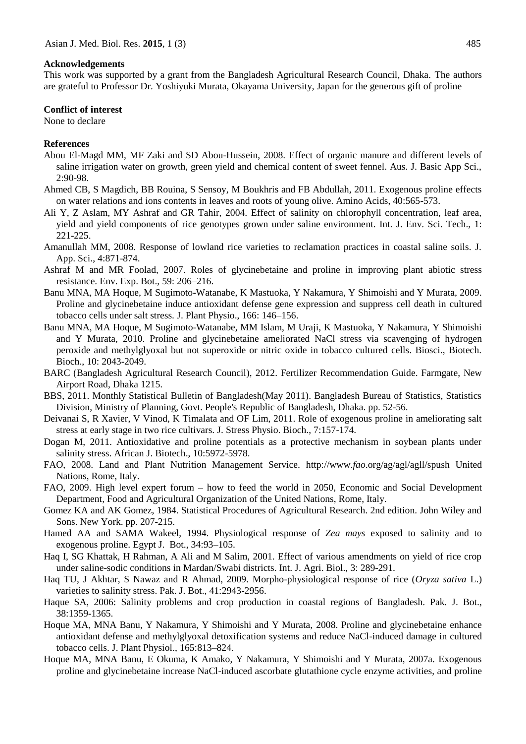#### **Acknowledgements**

This work was supported by a grant from the Bangladesh Agricultural Research Council, Dhaka. The authors are grateful to Professor Dr. Yoshiyuki Murata, Okayama University, Japan for the generous gift of proline

#### **Conflict of interest**

None to declare

#### **References**

- Abou El-Magd MM, MF Zaki and SD Abou-Hussein, 2008. Effect of organic manure and different levels of saline irrigation water on growth, green yield and chemical content of sweet fennel. Aus. J. Basic App Sci., 2:90-98.
- Ahmed CB, S Magdich, BB Rouina, S Sensoy, M Boukhris and FB Abdullah, 2011. Exogenous proline effects on water relations and ions contents in leaves and roots of young olive. Amino Acids, 40:565-573.
- Ali Y, Z Aslam, MY Ashraf and GR Tahir, 2004. Effect of salinity on chlorophyll concentration, leaf area, yield and yield components of rice genotypes grown under saline environment. Int. J. Env. Sci. Tech., 1: 221-225.
- Amanullah MM, 2008. Response of lowland rice varieties to reclamation practices in coastal saline soils. J. App. Sci., 4:871-874.
- Ashraf M and MR Foolad, 2007. Roles of glycinebetaine and proline in improving plant abiotic stress resistance. Env. Exp. Bot., 59: 206–216.
- Banu MNA, MA Hoque, M Sugimoto-Watanabe, K Mastuoka, Y Nakamura, Y Shimoishi and Y Murata, 2009. Proline and glycinebetaine induce antioxidant defense gene expression and suppress cell death in cultured tobacco cells under salt stress. J. Plant Physio., 166: 146–156.
- Banu MNA, MA Hoque, M Sugimoto-Watanabe, MM Islam, M Uraji, K Mastuoka, Y Nakamura, Y Shimoishi and Y Murata, 2010. Proline and glycinebetaine ameliorated NaCl stress via scavenging of hydrogen peroxide and methylglyoxal but not superoxide or nitric oxide in tobacco cultured cells. Biosci., Biotech. Bioch., 10: 2043-2049.
- BARC (Bangladesh Agricultural Research Council), 2012. Fertilizer Recommendation Guide. Farmgate, New Airport Road, Dhaka 1215.
- BBS, 2011. Monthly Statistical Bulletin of Bangladesh(May 2011). Bangladesh Bureau of Statistics, Statistics Division, Ministry of Planning, Govt. People's Republic of Bangladesh, Dhaka. pp. 52-56.
- Deivanai S, R Xavier, V Vinod, K Timalata and OF Lim, 2011. Role of exogenous proline in ameliorating salt stress at early stage in two rice cultivars. J. Stress Physio. Bioch., 7:157-174.
- Dogan M, 2011. Antioxidative and proline potentials as a protective mechanism in soybean plants under salinity stress. African J. Biotech., 10:5972-5978.
- FAO, 2008. Land and Plant Nutrition Management Service. http://www.*fao*.org/ag/agl/agll/spush United Nations, Rome, Italy.
- FAO, 2009. High level expert forum how to feed the world in 2050, Economic and Social Development Department, Food and Agricultural Organization of the United Nations, Rome, Italy.
- Gomez KA and AK Gomez, 1984. Statistical Procedures of Agricultural Research. 2nd edition. John Wiley and Sons. New York. pp. 207-215.
- Hamed AA and SAMA Wakeel, 1994. Physiological response of *Zea mays* exposed to salinity and to exogenous proline. Egypt J. Bot., 34:93–105.
- Haq I, SG Khattak, H Rahman, A Ali and M Salim, 2001. Effect of various amendments on yield of rice crop under saline-sodic conditions in Mardan/Swabi districts. Int. J. Agri. Biol., 3: 289-291.
- Haq TU, J Akhtar, S Nawaz and R Ahmad, 2009. Morpho-physiological response of rice (*Oryza sativa* L.) varieties to salinity stress. Pak. J. Bot., 41:2943-2956.
- Haque SA, 2006: Salinity problems and crop production in coastal regions of Bangladesh. Pak. J. Bot., 38:1359-1365.
- Hoque MA, MNA Banu, Y Nakamura, Y Shimoishi and Y Murata, 2008. Proline and glycinebetaine enhance antioxidant defense and methylglyoxal detoxification systems and reduce NaCl-induced damage in cultured tobacco cells. J. Plant Physiol., 165:813–824.
- Hoque MA, MNA Banu, E Okuma, K Amako, Y Nakamura, Y Shimoishi and Y Murata, 2007a. Exogenous proline and glycinebetaine increase NaCl-induced ascorbate glutathione cycle enzyme activities, and proline